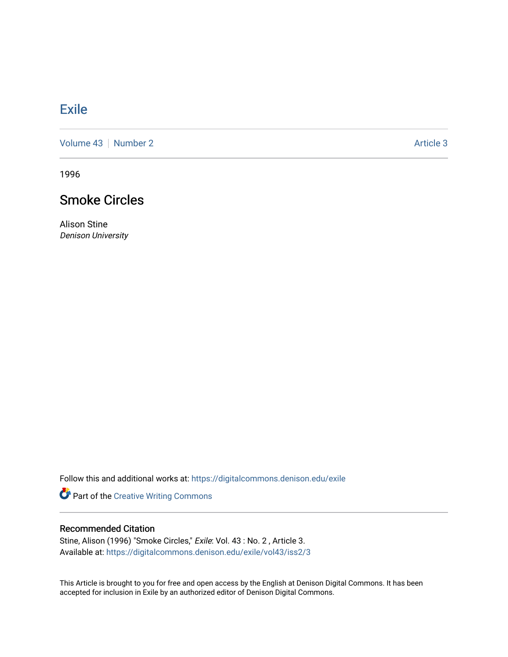## **[Exile](https://digitalcommons.denison.edu/exile)**

[Volume 43](https://digitalcommons.denison.edu/exile/vol43) | [Number 2](https://digitalcommons.denison.edu/exile/vol43/iss2) Article 3

1996

## Smoke Circles

Alison Stine Denison University

Follow this and additional works at: [https://digitalcommons.denison.edu/exile](https://digitalcommons.denison.edu/exile?utm_source=digitalcommons.denison.edu%2Fexile%2Fvol43%2Fiss2%2F3&utm_medium=PDF&utm_campaign=PDFCoverPages) 

Part of the [Creative Writing Commons](http://network.bepress.com/hgg/discipline/574?utm_source=digitalcommons.denison.edu%2Fexile%2Fvol43%2Fiss2%2F3&utm_medium=PDF&utm_campaign=PDFCoverPages) 

## Recommended Citation

Stine, Alison (1996) "Smoke Circles," Exile: Vol. 43 : No. 2 , Article 3. Available at: [https://digitalcommons.denison.edu/exile/vol43/iss2/3](https://digitalcommons.denison.edu/exile/vol43/iss2/3?utm_source=digitalcommons.denison.edu%2Fexile%2Fvol43%2Fiss2%2F3&utm_medium=PDF&utm_campaign=PDFCoverPages) 

This Article is brought to you for free and open access by the English at Denison Digital Commons. It has been accepted for inclusion in Exile by an authorized editor of Denison Digital Commons.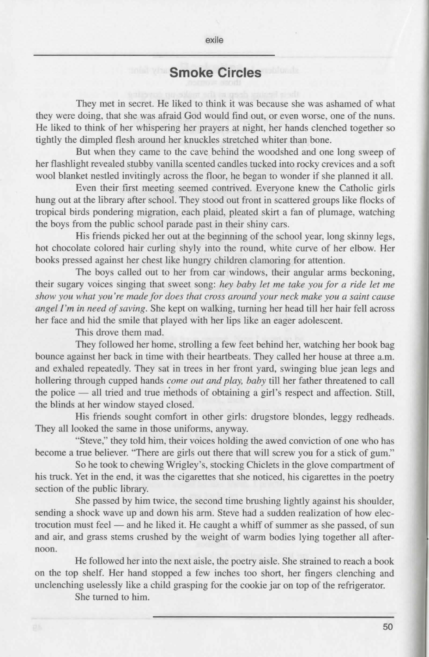## **Smoke Circles**

They met in secret. He liked to think it was because she was ashamed of what they were doing, that she was afraid God would find out, or even worse, one of the nuns. He liked to think of her whispering her prayers at night, her hands clenched together so tightly the dimpled flesh around her knuckles stretched whiter than bone.

But when they came to the cave behind the woodshed and one long sweep of her flashlight revealed stubby vanilla scented candles tucked into rocky crevices and a soft wool blanket nestled invitingly across the floor, he began to wonder if she planned it all.

Even their first meeting seemed contrived. Everyone knew the Catholic girls hung out at the library after school. They stood out front in scattered groups like flocks of tropical birds pondering migration, each plaid, pleated skirt a fan of plumage, watching the boys from the public school parade past in their shiny cars.

His friends picked her out at the beginning of the school year, long skinny legs, hot chocolate colored hair curling shyly into the round, white curve of her elbow. Her books pressed against her chest like hungry children clamoring for attention.

The boys called out to her from car windows, their angular arms beckoning, their sugary voices singing that sweet song: *hey baby let me take you for a ride let me show you what you 're made for does that cross around your neck make you a saint cause angel I'm in need of saving.* She kept on walking, turning her head till her hair fell across her face and hid the smile that played with her lips like an eager adolescent.

This drove them mad.

They followed her home, strolling a few feet behind her, watching her book bag bounce against her back in time with their heartbeats. They called her house at three a.m. and exhaled repeatedly. They sat in trees in her front yard, swinging blue jean legs and hollering through cupped hands *come out and play, baby* till her father threatened to call the police — all tried and true methods of obtaining a girl's respect and affection. Still, the blinds at her window stayed closed.

His friends sought comfort in other girls: drugstore blondes, leggy redheads. They all looked the same in those uniforms, anyway.

"Steve," they told him, their voices holding the awed conviction of one who has become a true believer. "There are girls out there that will screw you for a stick of gum."

So he took to chewing Wrigley's, stocking Chiclets in the glove compartment of his truck. Yet in the end, it was the cigarettes that she noticed, his cigarettes in the poetry section of the public library.

She passed by him twice, the second time brushing lightly against his shoulder, sending a shock wave up and down his arm. Steve had a sudden realization of how electrocution must feel  $-$  and he liked it. He caught a whiff of summer as she passed, of sun and air, and grass stems crushed by the weight of warm bodies lying together all afternoon.

He followed her into the next aisle, the poetry aisle. She strained to reach a book on the top shelf. Her hand stopped a few inches too short, her fingers clenching and unclenching uselessly like a child grasping for the cookie jar on top of the refrigerator.

She turned to him.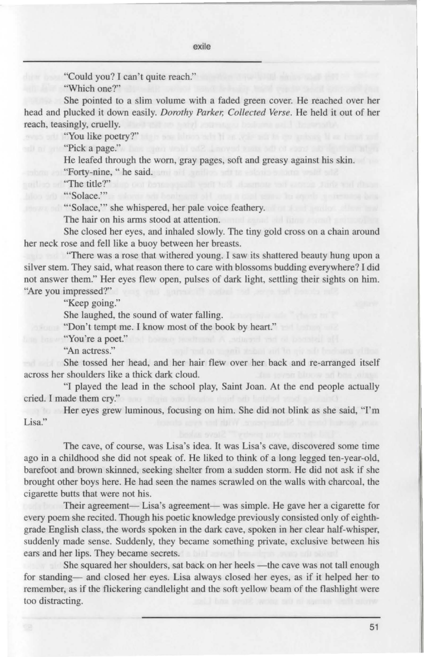"Could you? I can't quite reach." "Which one?"

She pointed to a slim volume with a faded green cover. He reached over her head and plucked it down easily. *Dorothy Parker; Collected Verse.* He held it out of her reach, teasingly, cruelly.

''You like poetry?"

"Pick a page."

He leafed through the worn, gray pages, soft and greasy against his skin. "Forty-nine, " he said.

"The title?"

"Solace."

'"Solace,"' she whispered, her pale voice feathery.

The hair on his arms stood at attention.

She closed her eyes, and inhaled slowly. The tiny gold cross on a chain around her neck rose and fell like a buoy between her breasts.

"There was a rose that withered young. I saw its shattered beauty bung upon a silver stem. They said, what reason there to care with blossoms budding everywhere? I did not answer them." Her eyes flew open, pulses of dark light, settling their sights on him. "Are you impressed?"

"Keep going."

She laughed, the sound of water falling.

"Don't tempt me. I know most of the book by heart."

**Example 2018** The View of The Contract of The Contract of The Contract of The Contract of The Contract of The Contract of The Contract of The Contract of The Contract of The Contract of The Contract of The Contract of The

"An actress."

She tossed her head, and her hair flew over her back and re-arranged itself across her shoulders like a thick dark cloud.

"I played the lead in the school play, Saint Joan. At the end people actua!Jy cried. I made them cry."

Her eyes grew luminous, focusing on him. She did not blink as she said, "I'm Lisa."

The cave, of course, was Lisa's idea. It was Lisa's cave, discovered some time ago in a childhood she did not speak of. He liked to think of a long legged ten-year-old, barefoot and brown skinned, seeking shelter from a sudden storm. He did not ask if she brought other boys here. He had seen the names scrawled on the walls with charcoal, the cigarette butts that were not his.

Their agreement- Lisa's agreement- was simple. He gave her a cigarette for every poem she recited. Though his poetic knowledge previously consisted only of eighthgrade English class, the words spoken in the dark cave, spoken in her clear half-whisper, suddenly made sense. Suddenly, they became something private, exclusive between his ears and her lips. They became secrets.

She squared her shoulders, sat back on her heels -the cave was not tall enough for standing- and closed her eyes. Lisa always closed her eyes, as if it helped her to remember, as if the flickering candlelight and the soft yellow beam of the flashlight were too distracting.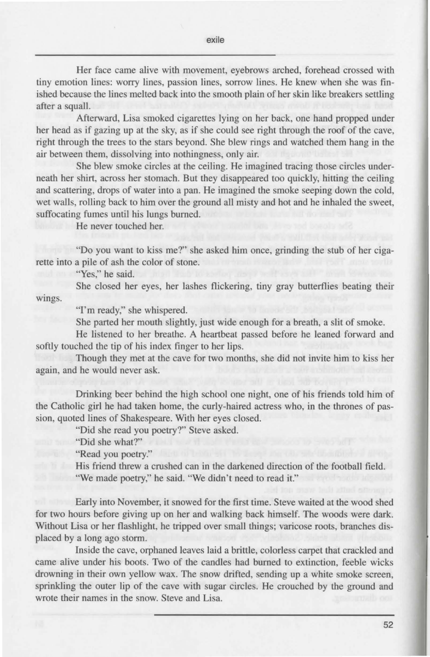Her face came alive with movement, eyebrows arched, forehead crossed with tiny emotion lines: worry lines, passion lines, sorrow lines. He knew when she was finished because the lines melted back into the smooth plain of her skin like breakers settling after a squall.

Afterward, Lisa smoked cigarettes lying on her back, one hand propped under her head as if gazing up at the sky, as if she could see right through the roof of the cave, right through the trees to the stars beyond. She blew rings and watched them hang in the air between them, dissolving into nothingness, only air.

She blew smoke circles at the ceiling. He imagined tracing those circles underneath her shirt, across her stomach. But they disappeared too quickly, hitting the ceiling and scattering, drops of water into a pan. He imagined the smoke seeping down the cold, wet walls, rolling back to him over the ground all misty and hot and he inhaled the sweet, suffocating fumes until his lungs burned.

He never touched her.

"Do you want to kiss me?" she asked him once, grinding the stub of her cigarette into a pile of ash the color of stone.

"Yes," he said.

wings. She closed her eyes, her lashes flickering, tiny gray butterflies beating their

"I'm ready," she whispered.

She parted her mouth slightly, just wide enough for a breath, a slit of smoke.

He listened to her breathe. A heartbeat passed before he leaned forward and softly touched the tip of his index finger to her lips.

Though they met at the cave for two months, she did not invite him to kiss her again, and he would never ask.

Drinking beer behind the high school one night, one of his friends told him of the Catholic girl he had taken home, the curly-haired actress who, in the thrones of passion, quoted lines of Shakespeare. With her eyes closed.

"Did she read you poetry?" Steve asked.

"Did she what?"

"Read you poetry."

His friend threw a crushed can in the darkened direction of the football field. "We made poetry," he said. "We didn't need to read it."

Early into November, it snowed for the first time. Steve waited at the wood shed for two hours before giving up on her and walking back himself. The woods were dark. Without Lisa or her flashlight, he tripped over small things; varicose roots, branches displaced by a long ago storm.

Inside the cave, orphaned leaves laid a brittle, colorless carpet that crackled and came alive under his boots. Two of the candles had burned to extinction, feeble wicks drowning in their own yellow wax. The snow drifted, sending up a white smoke screen, sprinkling the outer lip of the cave with sugar circles. He crouched by the ground and wrote their names in the snow. Steve and Lisa.